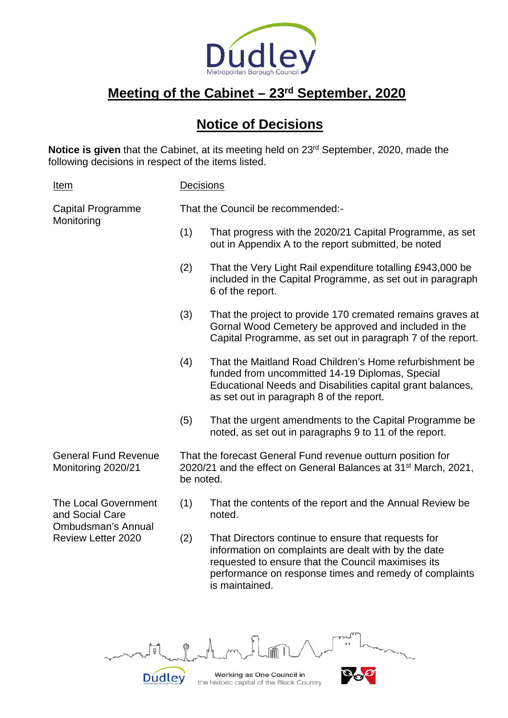

## **Meeting of the Cabinet – 23rd September, 2020**

## **Notice of Decisions**

Notice is given that the Cabinet, at its meeting held on 23<sup>rd</sup> September, 2020, made the following decisions in respect of the items listed.

| <u>Item</u>                                                                                              | <b>Decisions</b>                                                                                                                                        |                                                                                                                                                                                                                                               |  |
|----------------------------------------------------------------------------------------------------------|---------------------------------------------------------------------------------------------------------------------------------------------------------|-----------------------------------------------------------------------------------------------------------------------------------------------------------------------------------------------------------------------------------------------|--|
| <b>Capital Programme</b><br>Monitoring                                                                   | That the Council be recommended:-                                                                                                                       |                                                                                                                                                                                                                                               |  |
|                                                                                                          | (1)                                                                                                                                                     | That progress with the 2020/21 Capital Programme, as set<br>out in Appendix A to the report submitted, be noted                                                                                                                               |  |
|                                                                                                          | (2)                                                                                                                                                     | That the Very Light Rail expenditure totalling £943,000 be<br>included in the Capital Programme, as set out in paragraph<br>6 of the report.                                                                                                  |  |
|                                                                                                          | (3)                                                                                                                                                     | That the project to provide 170 cremated remains graves at<br>Gornal Wood Cemetery be approved and included in the<br>Capital Programme, as set out in paragraph 7 of the report.                                                             |  |
|                                                                                                          | (4)                                                                                                                                                     | That the Maitland Road Children's Home refurbishment be<br>funded from uncommitted 14-19 Diplomas, Special<br>Educational Needs and Disabilities capital grant balances,<br>as set out in paragraph 8 of the report.                          |  |
|                                                                                                          | (5)                                                                                                                                                     | That the urgent amendments to the Capital Programme be<br>noted, as set out in paragraphs 9 to 11 of the report.                                                                                                                              |  |
| <b>General Fund Revenue</b><br>Monitoring 2020/21                                                        | That the forecast General Fund revenue outturn position for<br>2020/21 and the effect on General Balances at 31 <sup>st</sup> March, 2021,<br>be noted. |                                                                                                                                                                                                                                               |  |
| <b>The Local Government</b><br>and Social Care<br><b>Ombudsman's Annual</b><br><b>Review Letter 2020</b> | (1)                                                                                                                                                     | That the contents of the report and the Annual Review be<br>noted.                                                                                                                                                                            |  |
|                                                                                                          | (2)                                                                                                                                                     | That Directors continue to ensure that requests for<br>information on complaints are dealt with by the date<br>requested to ensure that the Council maximises its<br>performance on response times and remedy of complaints<br>is maintained. |  |



the historic capital of the Black Country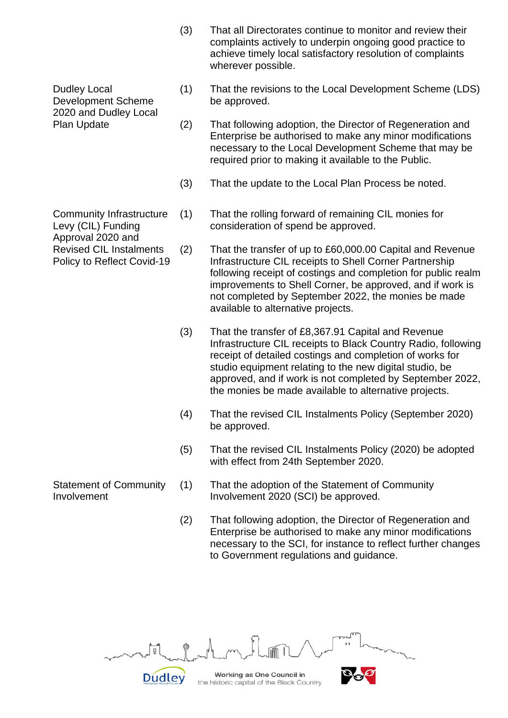- (3) That all Directorates continue to monitor and review their complaints actively to underpin ongoing good practice to achieve timely local satisfactory resolution of complaints wherever possible.
- (1) That the revisions to the Local Development Scheme (LDS) be approved.
- (2) That following adoption, the Director of Regeneration and Enterprise be authorised to make any minor modifications necessary to the Local Development Scheme that may be required prior to making it available to the Public.
- (3) That the update to the Local Plan Process be noted.
- (1) That the rolling forward of remaining CIL monies for consideration of spend be approved.
- (2) That the transfer of up to £60,000.00 Capital and Revenue Infrastructure CIL receipts to Shell Corner Partnership following receipt of costings and completion for public realm improvements to Shell Corner, be approved, and if work is not completed by September 2022, the monies be made available to alternative projects.
- (3) That the transfer of £8,367.91 Capital and Revenue Infrastructure CIL receipts to Black Country Radio, following receipt of detailed costings and completion of works for studio equipment relating to the new digital studio, be approved, and if work is not completed by September 2022, the monies be made available to alternative projects.
- (4) That the revised CIL Instalments Policy (September 2020) be approved.
- (5) That the revised CIL Instalments Policy (2020) be adopted with effect from 24th September 2020.
- (1) That the adoption of the Statement of Community Involvement 2020 (SCI) be approved.
- (2) That following adoption, the Director of Regeneration and Enterprise be authorised to make any minor modifications necessary to the SCI, for instance to reflect further changes to Government regulations and guidance.



Dudley Local Development Scheme 2020 and Dudley Local Plan Update

Community Infrastructure Levy (CIL) Funding Approval 2020 and Revised CIL Instalments Policy to Reflect Covid-19

Statement of Community Involvement